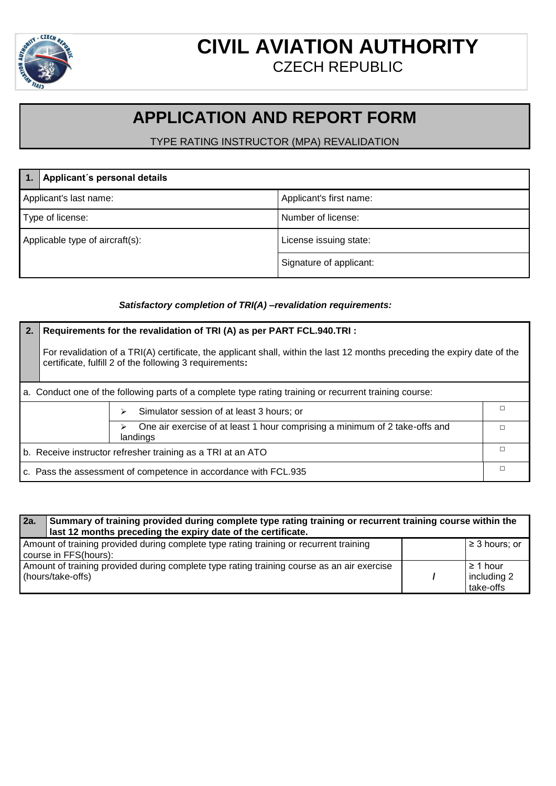

### **CIVIL AVIATION AUTHORITY** CZECH REPUBLIC

# **APPLICATION AND REPORT FORM**

### TYPE RATING INSTRUCTOR (MPA) REVALIDATION

|                                 | Applicant's personal details |                         |
|---------------------------------|------------------------------|-------------------------|
| Applicant's last name:          |                              | Applicant's first name: |
| Type of license:                |                              | Number of license:      |
| Applicable type of aircraft(s): |                              | License issuing state:  |
|                                 |                              | Signature of applicant: |

### *Satisfactory completion of TRI(A) –revalidation requirements:*

| 2.                                                                                                     | Requirements for the revalidation of TRI (A) as per PART FCL.940.TRI :                                                                                                               |   |  |
|--------------------------------------------------------------------------------------------------------|--------------------------------------------------------------------------------------------------------------------------------------------------------------------------------------|---|--|
|                                                                                                        | For revalidation of a TRI(A) certificate, the applicant shall, within the last 12 months preceding the expiry date of the<br>certificate, fulfill 2 of the following 3 requirements: |   |  |
| a. Conduct one of the following parts of a complete type rating training or recurrent training course: |                                                                                                                                                                                      |   |  |
| Simulator session of at least 3 hours; or<br>⋗                                                         |                                                                                                                                                                                      | П |  |
| One air exercise of at least 1 hour comprising a minimum of 2 take-offs and<br>↘<br>landings           |                                                                                                                                                                                      | П |  |
| Л<br>b. Receive instructor refresher training as a TRI at an ATO                                       |                                                                                                                                                                                      |   |  |
|                                                                                                        | П<br>c. Pass the assessment of competence in accordance with FCL.935                                                                                                                 |   |  |

#### **2a. Summary of training provided during complete type rating training or recurrent training course within the last 12 months preceding the expiry date of the certificate.** Amount of training provided during complete type rating training or recurrent training course in FFS(hours): ≥ 3 hours; or Amount of training provided during complete type rating training course as an air exercise (hours/take-offs) **/** ≥ 1 hour including 2 take-offs